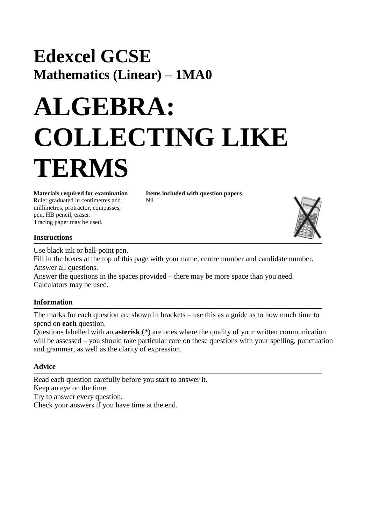## **Edexcel GCSE Mathematics (Linear) – 1MA0**

## **ALGEBRA: COLLECTING LIKE TERMS**

**Materials required for examination Items included with question papers** Ruler graduated in centimetres and Nil millimetres, protractor, compasses, pen, HB pencil, eraser. Tracing paper may be used.



Use black ink or ball-point pen.

Fill in the boxes at the top of this page with your name, centre number and candidate number. Answer all questions.

Answer the questions in the spaces provided – there may be more space than you need. Calculators may be used.

## **Information**

The marks for each question are shown in brackets – use this as a guide as to how much time to spend on **each** question.

Questions labelled with an **asterisk** (\*) are ones where the quality of your written communication will be assessed – you should take particular care on these questions with your spelling, punctuation and grammar, as well as the clarity of expression.

## **Advice**

Read each question carefully before you start to answer it. Keep an eye on the time. Try to answer every question. Check your answers if you have time at the end.

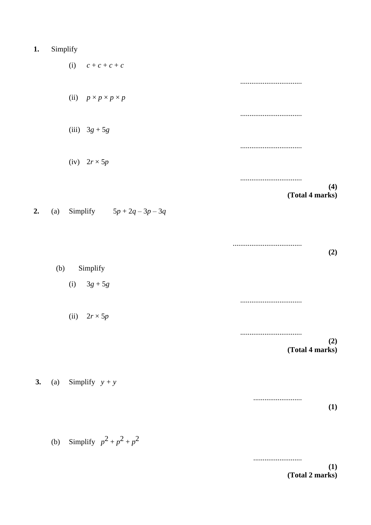|  | Simplify |  |
|--|----------|--|
|--|----------|--|

 $2.$ 

|    |     | (i) $c + c + c + c$                 |                        |
|----|-----|-------------------------------------|------------------------|
|    |     |                                     |                        |
|    |     | (ii) $p \times p \times p \times p$ |                        |
|    |     |                                     |                        |
|    |     | (iii) $3g + 5g$                     |                        |
|    |     |                                     |                        |
|    |     | (iv) $2r \times 5p$                 |                        |
|    |     |                                     | (4)                    |
|    |     |                                     | (Total 4 marks)        |
| 2. | (a) | Simplify $5p + 2q - 3p - 3q$        |                        |
|    |     |                                     |                        |
|    |     |                                     | (2)                    |
|    | (b) | Simplify                            |                        |
|    |     | (i) $3g + 5g$                       |                        |
|    |     |                                     |                        |
|    |     | (ii) $2r \times 5p$                 |                        |
|    |     |                                     |                        |
|    |     |                                     | (2)<br>(Total 4 marks) |
|    |     |                                     |                        |
| 3. | (a) | Simplify $y + y$                    |                        |

 $(1)$ 

(b) Simplify  $p^2 + p^2 + p^2$ 

 $(1)$ (Total 2 marks)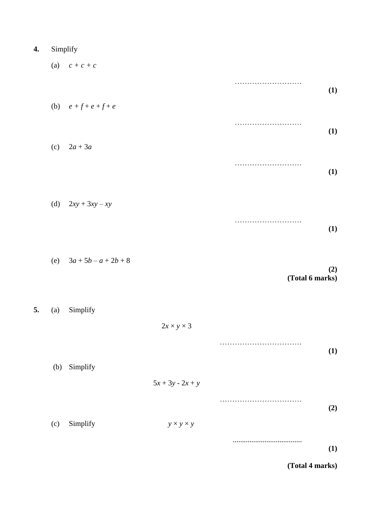| Simplify |  |
|----------|--|
|          |  |

 $5.$ 

| (a) | $c + c + c$             |                        |                 |
|-----|-------------------------|------------------------|-----------------|
|     |                         |                        | (1)             |
|     | (b) $e + f + e + f + e$ |                        |                 |
| (c) | $2a+3a$                 |                        | (1)             |
|     |                         |                        | (1)             |
|     |                         |                        |                 |
| (d) | $2xy + 3xy - xy$        |                        |                 |
|     |                         |                        | (1)             |
| (e) | $3a + 5b - a + 2b + 8$  |                        | (2)             |
|     |                         |                        | (Total 6 marks) |
| (a) | Simplify                |                        |                 |
|     |                         | $2x \times y \times 3$ |                 |
| (b) | Simplify                |                        | (1)             |
|     |                         | $5x + 3y - 2x + y$     |                 |
|     |                         |                        | (2)             |
| (c) | Simplify                | $y \times y \times y$  |                 |

**(Total 4 marks)**

**(1)**

.....................................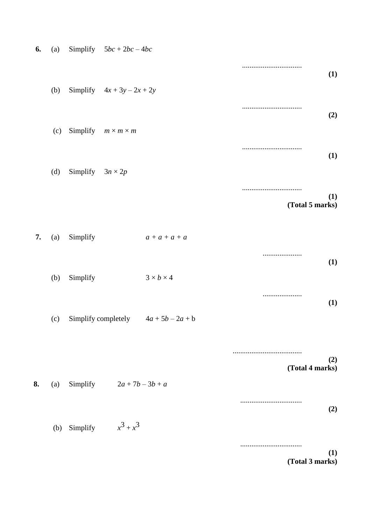| 6. | (a) |                         | Simplify $5bc + 2bc - 4bc$     |                                        |                        |
|----|-----|-------------------------|--------------------------------|----------------------------------------|------------------------|
|    |     |                         |                                |                                        | (1)                    |
|    | (b) |                         | Simplify $4x + 3y - 2x + 2y$   |                                        |                        |
|    |     |                         |                                |                                        | (2)                    |
|    | (c) |                         | Simplify $m \times m \times m$ |                                        |                        |
|    | (d) | Simplify $3n \times 2p$ |                                |                                        | (1)                    |
|    |     |                         |                                |                                        |                        |
|    |     |                         |                                |                                        | (1)<br>(Total 5 marks) |
| 7. | (a) | Simplify                |                                | $a + a + a + a$                        |                        |
|    |     |                         |                                |                                        | <br>(1)                |
|    | (b) | Simplify                |                                | $3 \times b \times 4$                  |                        |
|    |     |                         |                                |                                        | <br>(1)                |
|    | (c) |                         |                                | Simplify completely $4a + 5b - 2a + b$ |                        |
|    |     |                         |                                |                                        | (2)                    |
| 8. | (a) |                         | Simplify $2a + 7b - 3b + a$    |                                        | (Total 4 marks)        |
|    |     |                         |                                |                                        | (2)                    |
|    | (b) | Simplify                | $x^3 + x^3$                    |                                        |                        |
|    |     |                         |                                |                                        | (1)                    |
|    |     |                         |                                |                                        | (Total 3 marks)        |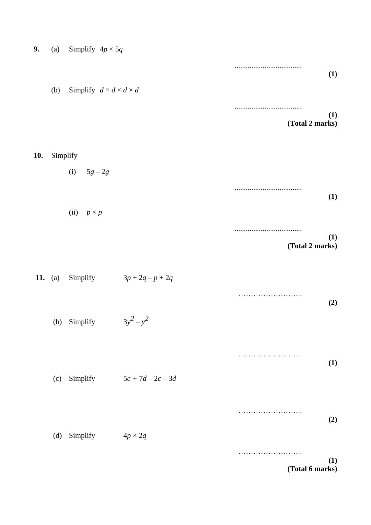|                        |   |                              | (a) Simplify $4p \times 5q$             |                | 9.         |
|------------------------|---|------------------------------|-----------------------------------------|----------------|------------|
| (1)                    |   |                              |                                         |                |            |
|                        |   |                              | Simplify $d \times d \times d \times d$ | (b)            |            |
| (1)<br>(Total 2 marks) |   |                              |                                         |                |            |
|                        |   |                              |                                         | Simplify       | <b>10.</b> |
|                        |   |                              | (i) $5g - 2g$                           |                |            |
| (1)                    |   |                              |                                         |                |            |
|                        |   |                              | (ii) $p \times p$                       |                |            |
| (1)<br>(Total 2 marks) |   |                              |                                         |                |            |
|                        |   | $3p + 2q - p + 2q$           | Simplify                                | <b>11.</b> (a) |            |
| (2)                    |   |                              |                                         |                |            |
|                        |   |                              | (b) Simplify $3y^2 - y^2$               |                |            |
| (1)                    | . |                              |                                         |                |            |
|                        |   | Simplify $5c + 7d - 2c - 3d$ |                                         | (c)            |            |
|                        |   |                              |                                         |                |            |
| (2)                    |   | $4p \times 2q$               | Simplify                                | (d)            |            |
| (1)<br>(Total 6 marks) | . |                              |                                         |                |            |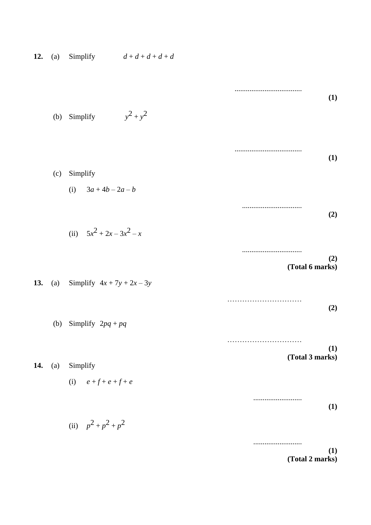| 12. | (a) |                              | Simplify $d+d+d+d+d$ |                        |
|-----|-----|------------------------------|----------------------|------------------------|
|     |     |                              |                      | (1)                    |
|     | (b) | Simplify                     | $y^2 + y^2$          |                        |
|     |     |                              |                      | (1)                    |
|     | (c) | Simplify                     |                      |                        |
|     |     | (i) $3a + 4b - 2a - b$       |                      |                        |
|     |     |                              |                      | (2)                    |
|     |     | (ii) $5x^2 + 2x - 3x^2 - x$  |                      |                        |
|     |     |                              |                      | (2)                    |
| 13. | (a) | Simplify $4x + 7y + 2x - 3y$ |                      | (Total 6 marks)        |
|     |     |                              |                      | (2)                    |
|     |     | (b) Simplify $2pq + pq$      |                      |                        |
|     |     |                              |                      | .<br>(1)               |
| 14. | (a) | Simplify                     |                      | (Total 3 marks)        |
|     |     | (i) $e + f + e + f + e$      |                      |                        |
|     |     |                              |                      |                        |
|     |     |                              |                      | (1)                    |
|     |     | (ii) $p^2 + p^2 + p^2$       |                      |                        |
|     |     |                              |                      | (1)<br>(Total 2 marks) |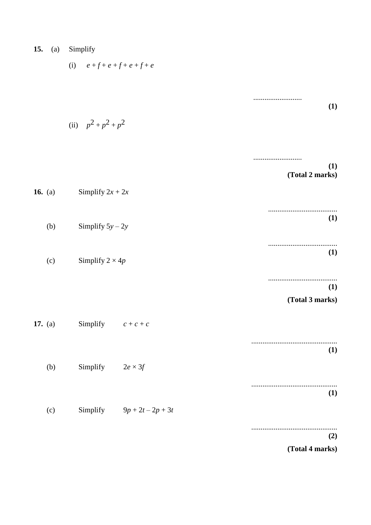| 15.<br>(a) | Simplify                     |                        |
|------------|------------------------------|------------------------|
|            | (i) $e+f+e+f+e+f+e$          |                        |
|            |                              | (1)                    |
|            | (ii) $p^2 + p^2 + p^2$       |                        |
|            |                              | (1)                    |
| 16. $(a)$  | Simplify $2x + 2x$           | (Total 2 marks)        |
| (b)        | Simplify $5y - 2y$           | (1)                    |
| (c)        | Simplify $2 \times 4p$       | (1)                    |
|            |                              | (1)<br>(Total 3 marks) |
| 17. (a)    | Simplify $c + c + c$         |                        |
|            |                              | (1)                    |
| (b)        | Simplify $2e \times 3f$      | (1)                    |
| (c)        | Simplify $9p + 2t - 2p + 3t$ |                        |
|            |                              | (2)<br>(Total 4 marks) |